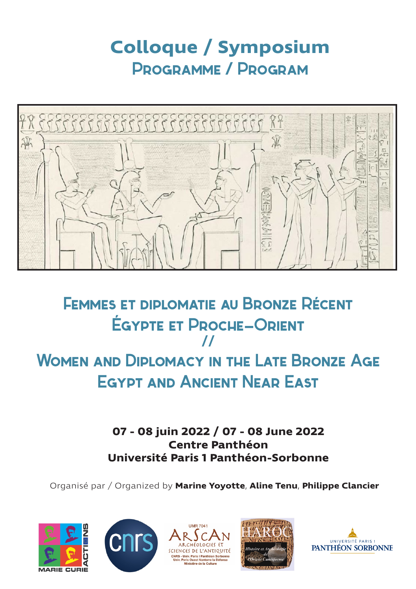# **Colloque / Symposium** Programme / Program



## Femmes et diplomatie au Bronze Rècent Ègypte et Proche-Orient **//** WOMEN AND DIPLOMACY IN THE LATE BRONZE AGE Egypt and Ancient Near East

**07 - 08 juin 2022 / 07 - 08 June 2022 Centre Panthéon Université Paris 1 Panthéon-Sorbonne**

Organisé par / Organized by **Marine Yoyotte**, **Aline Tenu**, **Philippe Clancier**









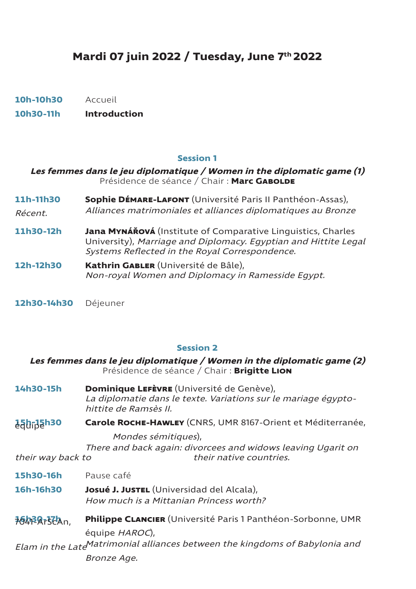## **Mardi 07 juin 2022 / Tuesday, June 7th 2022**

**10h-10h30** Accueil

**10h30-11h Introduction**

#### **Session 1**

| Les femmes dans le jeu diplomatique / Women in the diplomatic game (1)<br>Présidence de séance / Chair : Marc GABOLDE |                                                                                                                                                                                   |
|-----------------------------------------------------------------------------------------------------------------------|-----------------------------------------------------------------------------------------------------------------------------------------------------------------------------------|
| 11h-11h30                                                                                                             | <b>Sophie DÉMARE-LAFONT</b> (Université Paris II Panthéon-Assas),<br>Alliances matrimoniales et alliances diplomatiques au Bronze                                                 |
| Récent.                                                                                                               |                                                                                                                                                                                   |
| 11h30-12h                                                                                                             | Jana MYNÁŘOVÁ (Institute of Comparative Linguistics, Charles<br>University), Marriage and Diplomacy. Egyptian and Hittite Legal<br>Systems Reflected in the Royal Correspondence. |
| 12h-12h30                                                                                                             | Kathrin GABLER (Université de Bâle),<br>Non-royal Women and Diplomacy in Ramesside Eqypt.                                                                                         |

**12h30-14h30** Déjeuner

#### **Session 2**

## **Les femmes dans le jeu diplomatique / Women in the diplomatic game (2)**  Présidence de séance / Chair : **Brigitte Lion 14h30-15h Dominique Lefèvre** (Université de Genève),

La diplomatie dans le texte. Variations sur le mariage égyptohittite de Ramsès II.

**15h-15h30 Carole ROCHE-HAWLEY** (CNRS, UMR 8167-Orient et Méditerranée,

 Mondes sémitiques), There and back again: divorcees and widows leaving Ugarit on their way back to their native countries.

**15h30-16h** Pause café

**16h-16h30 Josué J. Justel** (Universidad del Alcala), How much is a Mittanian Princess worth?

**16h30-17h Philippe CLANCIER** (Université Paris 1 Panthéon-Sorbonne, UMR équipe HAROC),

Elam in the Late Matrimonial alliances between the kingdoms of Babylonia and Bronze Age.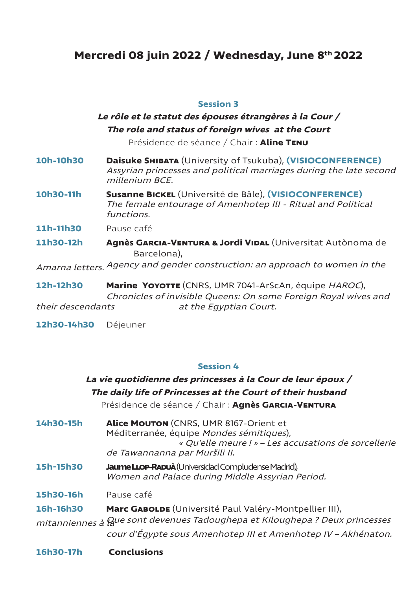## **Mercredi 08 juin 2022 / Wednesday, June 8th 2022**

#### **Session 3**

## **Le rôle et le statut des épouses étrangères à la Cour / The role and status of foreign wives at the Court**

Présidence de séance / Chair : **Aline Tenu**

- **10h-10h30 Daisuke Shibata** (University of Tsukuba), **(VISIOCONFERENCE)** Assyrian princesses and political marriages during the late second millenium BCE.
- **10h30-11h Susanne Bickel** (Université de Bâle), **(VISIOCONFERENCE)** The female entourage of Amenhotep IlI - Ritual and Political functions.
- **11h-11h30** Pause café
- **11h30-12h Agnès Garcia-Ventura & Jordi Vidal** (Universitat Autònoma de Barcelona),

Amarna letters. Agency and gender construction: an approach to women in the

**12h-12h30 Marine Yoyotte** (CNRS, UMR 7041-ArScAn, équipe HAROC), Chronicles of invisible Queens: On some Foreign Royal wives and their descendants at the Egyptian Court.

**12h30-14h30** Déjeuner

## **Session 4**

| 16h30-17h | <b>Conclusions</b>                                                                                                                                                                      |
|-----------|-----------------------------------------------------------------------------------------------------------------------------------------------------------------------------------------|
|           | cour d'Égypte sous Amenhotep III et Amenhotep IV - Akhénaton.                                                                                                                           |
|           | mitanniennes à Que sont devenues Tadoughepa et Kiloughepa ? Deux princesses                                                                                                             |
| 16h-16h30 | Marc GABOLDE (Université Paul Valéry-Montpellier III),                                                                                                                                  |
| 15h30-16h | Pause café                                                                                                                                                                              |
| 15h-15h30 | Jaume LLop-Rapuà (Universidad Compludense Madrid),<br>Women and Palace during Middle Assyrian Period.                                                                                   |
| 14h30-15h | <b>Alice MOUTON</b> (CNRS, UMR 8167-Orient et<br>Méditerranée, équipe Mondes sémitiques),<br>« Qu'elle meure ! » - Les accusations de sorcellerie<br>de Tawannanna par Muršili II.      |
|           | <i>La vie quotidienne des princesses à la Cour de leur époux /</i><br>The daily life of Princesses at the Court of their husband<br>Présidence de séance / Chair : Agnès GARCIA-VENTURA |
|           |                                                                                                                                                                                         |